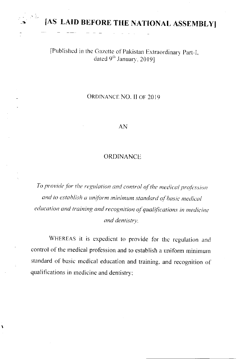

١

[AS LAID BEFORE THE NATIONAL ASSEMBLY]

## [Published in the Gazette of Pakistan Extraordinary Part-I, dated 9th January, 20191

## ORDINANCE NO. II OF 2019

## AN

## **ORDINANCE**

To provide for the regulation and control of the medical profession and to establish a uniform minimum standard of basic medical education and training and recognition of qualifications in medicine and dentistry.

WHEREAS it is expedient to provide for the regulation and control of the medical profession and to establish a uniform minimum standard of basic medical education and training, and recognition of qualifications in medicine and dentistry;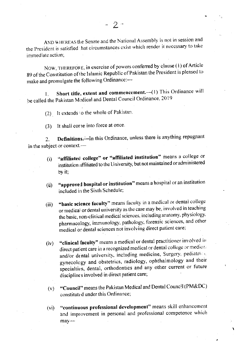AND WHEREAS the Senate and the National Assembly is not in session and the President is satisfied that circumstances exist which render it necessary to take immediate action.

NOW, THEREFORE, in exercise of powers conferred by clause (1) of Article 89 of the Constitution of the Islamic Republic of Pakistan the President is pleased to make and promulgate the following Ordinance:-

Short title, extent and commencement.-(1) This Ordinance will  $\mathbf{L}$ be called the Pakistan Medical and Dental Council Ordinance, 2019

(2) It extends to the whole of Pakistan.

It shall corne into force at once.  $(3)$ 

Definitions.-In this Ordinance, unless there is anything repugnant  $2<sub>1</sub>$ in the subject or context.-

- "affiliated college" or "affiliated institution" means a college or  $(i)$ institution affiliated to the University, but not maintained or administered by it.
- "approved hospital or institution" means a hospital or an institution  $(ii)$ included in the Sixth Schedule;
- "basic science faculty" means faculty in a medical or dental college  $(iii)$ or medical or dental university as the case may be, involved in teaching the basic, non-clinical medical sciences, including anatomy, physiology. pharmacology, immunology, pathology, forensic sciences, and other medical or dental sciences not involving direct patient care;
- "clinical faculty" means a medical or dental practitioner involved in  $(iv)$ direct patient care in a recognized medical or dental college or medical and/or dental university, including medicine, Surgery, pediatrics. gynecology and obstetrics, radiology, ophthalmology and their specialties, dental, orthodontics and any other current or future disciplines involved in direct patient care;
- "Council" means the Pakistan Medical and Dental Council (PM&DC)  $(v)$ constituted under this Ordinance;
- "continuous professional development" means skill enhancement  $(vi)$ and improvement in personal and professional competence which  $may-$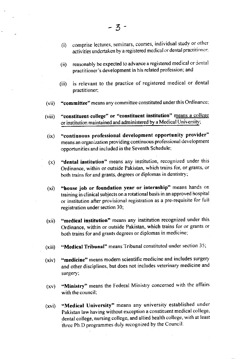- (i) comprise lectures, seminars, courses, individual study or other activities undertaken by a registered medical or dental practitioner:
- (ii) reasonably be expected to advance a registered medical or dental practitioner's development in his related profession; and
- (iii) is relevant to the practice of registered medical or dental practitioner;
- (vii) "committee" means any committee constituted under this Ordinance;
- (viii) "constituent college" or "constituent institution" means a college or institution maintained and administered by a Medical University;
- (ix) "continuous professional development opportunity provider" means an organization providing continuous professional development opportunities and included in the Seventh Schedule:
- $(x)$  "dental institution" means any institution, recognized under this Ordinance, within or outside Pakistan, which trains for, or grants, or both trains for and grants, degrees or diplomas in dentistry;
- (xi) "house job or foundation year or internship" means hands on training in clinical subjects on a rotational basis in an approved hospital or institution after provisional registration as a pre-requisite for fuil registration under section 30;
- (xii) "medical institution" means any institution recognized under this Ordinance, within or outside Pakistan, which trains for or grants or both trains for and grants degrees or diplomas in medicine;
- (xiii) "Medical Tribunal" means Tribunal constituted under section 35;
- (xiv) "medicine" means modem scientific medicine and includes surgery and other disciplines, but does not includes veterinary medicine and surgery;
- (xv) "Ministry" means the Federal Ministry concerned with the affairs with the council:
- (xvi) "Medical University" means any university established under Pakistan law having without exception a constituent medical college, dental college, nursing college, and allied health college, with at least ihree Ph.D programmes duly recognized by the Council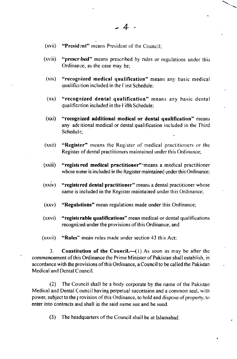- $(xvii)$  "President" means President of the Council:
- (xviii) "prescribed" means prescribed by rules or regulations under this Ordinance, as the case may be;
- $(xix)$  "recognized medical qualification" means any basic medical qualification included in the First Schedule;
- $(xx)$  "recognized dental qualification" means any basic dental qualification included in the Fifth Schedule;
- (xxi) "recognized additional medical or dental qualification" means any adcitional medical or dental qualification included in the Third Schedule:
- (xxii) "Regisler" means the Register of medical practitioners or the Register of dental practitioners maintained under this Ordinance;
- (xxiii) "registered medical practitioner"'means a medical practitioner whose name is included in the Register maintained under this Ordinance:
- $(xxiv)$  "registered dental practitioner" means a dental practitioner whose name is included in the Register maintained under this Ordinance:
- (xxv) "Regulations" mean regulations made under this Ordinance;
- (xrvi) "registrrable qualifications" mean medical or dental qualifications recognized under the provisions of this Ordinance; and
- (xxvii) "Rules" mean rules made under section 43 this Act;

3. **Constitution of the Council.**—(1) As soon as may be after the commencement of this Ordinance the Prime Minister of Pakistan shall establish, in accordance with the provisions of this Ordinance, a Council to be called the Pakistan Medical and Dental Council.

(2) The Council shall be a body corporate bv the name of the Pakistan Medical and Dental Council having perpetual succession and a common seal, with power, subject to the provision of this Ordinance, to hold and dispose of property, to enter into contracts and shall in the said name sue and be sued.

(3) The headquarters of the Council shall be at Islamabad.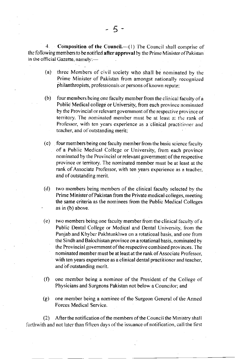4. Composition of the Council.  $\left( \begin{smallmatrix} 1 \end{smallmatrix} \right)$  The Council shall comprise of the following members to be notified after approval by the Prime Minister of Pakistan in the official Gazette, namely:-

- (a) three Members of civil society who shall be nominated by the Prime Minister of Pakistan from amongst nationally recognized philanthropists, professionals or persons of known repute:
- (b) four members being one faculty mem ber from the clinical faculty of a Public Medical college or University, from each province nominated by the Provincial or relevant government of the respective province or territory. The nominated member must be at least at the rank of Professor, with ten years experience as a clinical practitioner and teacher, and of outstanding merit;
- (c) four members being one faculty member from the basic science faculty of a Public Medical College or University, from each province nominated by the Provincial or relevant government of the respective. province or territory. The nominated member must be at least at the rank of Associate Professor, with ten years experience as a teacher, and of outstanding merit.
- (d) two members being members of the clinical taculty selected by the Prime Minister of Pakistan from the Private medical colleges, meeting the same criteria as the nominees from the Public Medical Colleges as in (b) above.
- $(e)$  two members being one faculty member from the clinical faculty of a Public Dental College or Medical and Dental University. fiom the Punjab and Khyber Pakhtunkhwa on a rotational basis, and one from the Sindh and Balochistan province on a rotational basis, nominated by the Provincial government of the respective combined provinces. The nominated member must be at least at the rank of Associate Professor, with ten years experience as a clinical dental practitioner and teacher, and bf outstanding merit.
- $(f)$  one member being a nominee of the President of the College of Physicians and Surgeons Pakistan not below a Councilor; and
- (g) one member being a nom inee of the Surgeon General of the Anned Forces Medical Service.

(2) Afterthe notification of the members of the Council the Ministry shal! forthwith and not later than fifteen days of the issuance of notification, call the first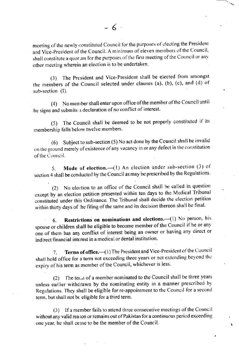meeting of the newly constituted Council for the purposes of electing the President and Vice-President of the Council. A minimum of eleven members of the Council, shall constitute a quorum for the purposes of the first meeting of the Council or any other meeting wherein an election is to be undertaken.

(3) The President and Vice-President shall be elected from amongst the members of the Council selected under clauses (a), (b), (c), and (d) of sub-section (I).

(4) No member shall enter upon office of the member of the Council until he signs and submits a declaration of no conflict of interest.

The Council shall be deemed to be not properly constituted if its  $(5)$ membership falls below twelve members.

Subject to sub-section (5) No act done by the Council shall be invalid  $(6)$ on the ground merely of existence of any vacancy in or any defect in the constitution of the Council.

Mode of election.-(1) An election under sub-section (3) of 5. section 4 shall be conducted by the Council as may be prescribed by the Regulations.

(2) No election to an office of the Council shall be called in question except by an election petition presented within ten days to the Medical Tribunal constituted under this Ordinance. The Tribunal shall decide the election petition within thirty days of the filing of the same and its decision thereon shall be final.

Restrictions on nominations and elections.-(1) No person, his  $6.$ spouse or children shall be eligible to become member of the Council if he or any one of them has any conflict of interest being an owner or having any direct or indirect financial interest in a medical or dental institution.

Terms of office.-- (1) The President and Vice-President of the Council  $7<sub>1</sub>$ shall hold office for a term not exceeding three years or not extending beyond the expiry of his term as member of the Council, whichever is less.

The term of a member nominated to the Council shall be three years  $(2)$ unless earlier withdrawn by the nominating entity in a manner prescribed by Regulations. They shall be eligible for re-appointment to the Council for a second term, but shall not be eligible for a third term.

(3) If a member fails to attend three consecutive meetings of the Council without any valid reason or remains out of Pakistan for a continuous period exceeding one year, he shall cease to be the member of the Council.

Ñ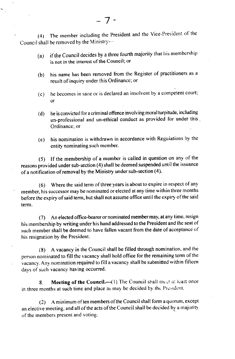(4) The member including the President and the Vice-President of the Council shall be removed by the Ministry- $-$ 

- (a) ifthe Council decides by a three fourth majority that his menrbership is not in the interest of the Council; or
- (b) his name has been removed from the Register of practitioners as a result of inquiry under this Ordinance; or
- $(c)$  he becomes in sane or is declared an insolvent by a competent court; or
- (d) he is convicted for a criminal offence involving moral turpitude, including un-professional and un-ethical conduct as provided for under this Ordinance; or
- (e) his nomination is withdrawn in accordance with Regulations by the entity nominating such member.

(5) If the menrbership of a member is called in question on any of the reasons provided under sub-section (4) shall be deemed suspended unril the issuance of a notification of removal by the Ministry under sub-section (4).

 $(6)$  Where the said term of three years is about to expire in respect of any member, his successor may be nominated or elected at any time within three months before the expiry of said term, but shall not assume office until the expiry of the said term.

(7) An elected office-bearer or nominated member may, at any time, resign his rnembership by writing under his hand addressed to the President and the seat of such member shall be deemed to have fallen vacant from the date of acceptance of his resignation by the President.

(8) <sup>A</sup>vacancy in the Council shall be filled through nomination. and the person nominated to fill the vacancy shall hold office for the remaining term of the vacancy. Any nomination required to fill a vacancy shall be submitted within fifteen days of such vacancy having occurred.

8. Meeting of the Council.-- $(1)$  The Council shall meet at least once in three months at such time and place as may be decided by the President.

 $(2)$  A minimum of ten members of the Council shall form a quorum, except an elective meeting, and all of the acts of the Council shall be decided by a majority of the members present and voting.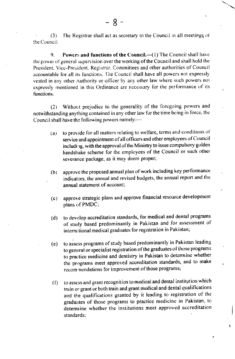(3) the Council. The Registrar shall act as secretary to the Council in all meetings of

9. Powers and functions of the Council. $\left(\frac{1}{1}\right)$  The Council shall have the power of general supervision over the working of the Council and shall hold the President, Vice-President, Registrar. Committees and other authorities of Council accountable for all its functions. The Council shall have all powers not expressly vested in any other Authority or officer by any other law where such powers not expressly mentioned in this Ordinance are necessary for the performance of its functions.

(2) Without prejudice to the generality of the foregoing powers and notwithstanding anything contained in any other law for the time being in force, the Council shall have the following powers namely:-

- (a) to provide for all matters relating to welfare, terms and conditions of service and appointment of all officers and other employees of Council including, with the approval of the Ministry to issue compulsory golden handshake scheme for the employees of the Council or such other severance package, as it may deem proper;
- (b) approve the proposed annual plan of work including key performance indicators, the annual and revised budgets, the annual report and the annual statement of account:
- (c) approve strategic plans and approve financial resource development plans of PMDC;
- (d) to develop accreditation standards, for medical and dental programs of study based predominantly in Pakistan and for assessment of international medical graduates for registration in Pakistan;
- (e) to assess programs of study based predominantly in Pakistan leading to general or specialist registration of the graduates of those programs to practice medicine and dentistry in Pakistan to determine whether the programs meet approved accreditation standards, and to make recom nendations for improvement of those programs;
- $( f)$  to assess and grant recognition to medical and dental institution which train or grant or both train and grant medical and dental qualifications and the qualifications granted by it leading to registration of the graduates of those programs to practice medicine in Pakistan, to determine whether the institutions meet approved accreditation standards: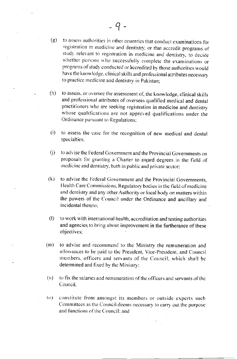- to assess authorities in other countries that conduct examinations for  $(g)$ registration in medicine and dentistry, or that accredit programs of study relevant to registration in medicine and dentistry, to decide whether persons who successfully complete the examinations or programs of study conducted or accredited by those authorities would have the knowledge, clinical skills and professional attributes necessary to practice medicine and dentistry in Pakistan;
- $(h)$ to assess, or oversee the assessment of, the knowledge, clinical skills and professional attributes of overseas qualified medical and dental practitioners who are seeking registration in medicine and dentistry whose qualifications are not approved qualifications under the Ordinance pursuant to Regulations;
- $(i)$ to assess the case for the recognition of new medical and dental specialties;
- to advise the Federal Government and the Provincial Governments on  $(i)$ proposals for granting a Charter to award degrees in the field of medicine and dentistry, both in public and private sector;
- $(k)$ to advise the Federal Government and the Provincial Governments, Health Care Commissions, Regulatory bodies in the field of medicine and dentistry and any other Authority or local body on matters within the powers of the Council under the Ordinance and ancillary and incidental thereto:
- to work with international health, accreditation and testing authorities  $\langle \cdot | \cdot \rangle$ and agencies to bring about improvement in the furtherance of these objectives:
- $(m)$ to advise and recommend to the Ministry the remuneration and allowances to be paid to the President, Vice-President, and Council members, officers and servants of the Council, which shall be determined and fixed by the Ministry:
- $(n)$ to fix the salaries and remuneration of the officers and servants of the Council.
- constitute from amongst its members or outside experts such  $(0)$ Committees as the Council deems necessary to carry out the purpose and functions of the Council; and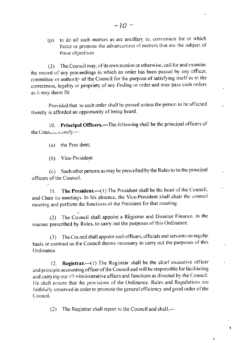(p) to do all such matters as are ancillary to, convenient for or which foster or promote the advancement of matters that are the subject of these objectives.

(3) The Council may, of its own motion or otherwise, call for and examine the record of any proceedings in which an order has been passed by any officer, committee or authority of the Council for the purpose of satisfying itself as to the correctness, legality or propriety of any finding or order and may pass such orders as it may deem fit:

Provided that no such order shall be passed unless the person to be affected thereby is afforded an opportunity of being heard.

10. Principal Officers.—The following shall be the principal officers of the Council, namely:-

(a) the Pres dent;

(b) Vice-President

Such other persons as may be prescribed by the Rules to be the principal  $(c)$ officers of the Council.

The President.—(1) The President shall be the head of the Council.  $11.$ and Chair its meetings. In his absence, the Vice-President shall chair the council meeting and perform the functions of the President for that meeting.

(2) The Council shall appoint a Registrar and Director Finance, in the manner prescribed by Rules, to carry out the purposes of this Ordinance.

(3) The Council shall appoint such officers, officials and servants on regular basis or contract as the Council deems necessary to carry out the purposes of this Ordinance.

Registrar. (1) The Registrar shall be the chief executive officer  $12.$ and principle accounting officer of the Council and will be responsible for facilitating and carrying out all administrative affairs and functions as directed by the Council. He shall ensure that the provisions of the Ordinance. Rules and Regulations are faithfully observed in order to promote the general efficiency and good order of the Council.

(2) The Registrar shall report to the Council and shall,—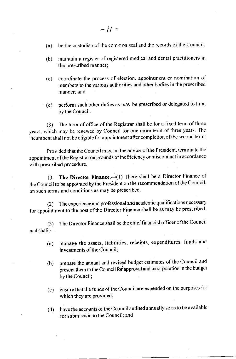- (a) be the custodian of the common seal and the records of the Council:
- (b) maintain a register of registered medical and dental practitioners in the prescribcd manner;
- (c) coordinate the process of election, appointment or nomination of rnembers to the yarious authorities and other bodies in the prescribed manner: and
- (e) perform such other duties as may be prescribed or delegated to him. by the Council.

(3) The term of office of the Registrar shall be for a fixed term of three years, which may be renewed by Council for one more term of three years. The incumbent shall not be eligible for appointment after completion of the second term:

Provided that the Council may, on the advice of the President, terminate the appointment of the Registrar on grounds of inefficiency or misconduct in accordance with prescribed procedure.

13. The Director Finance.—(1) There shall be a Director Finance of the Council to be appointed by the President on the recommendation of the Council, on such terms and conditions as may be prescribed.

(2) The experience and professional and academic qualificarions necessary for appointment to the post of the Director Finance shall be as may be prescribed.

(3) and shall, $-$ The Director Finance shall be the chieffinancial officer ofthe Council

- (a) manage the assets, liabilities. receipts, expenditures, funds and investments of the Council;
- (b) prepare the annual and revised budget estimates of the Council and present them to the Council for approval and incorporation in the budget by the Council;
- (c) ensure that the funds of the Council are expended on the purposes for which they are provided;
- have the accounts of the Council audited annually so as to be available for submission to the Council; and (d)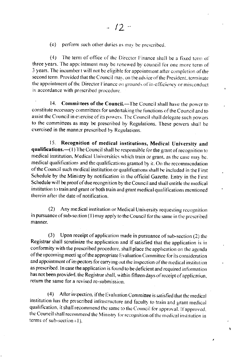$(e)$ perform such other duties as may be prescribed.

 $(4)$ The term of office of the Director Finance shall be a fixed term of three years. The appcintment may be renewed by council for one more term of 3 years. The incumber t will not be eligible for appointment after completion of the second term. Provided that the Council may, on the advice of the President, terminate the appointment of the Director Finance on grounds of in-efficiency or misconduct in accordance with prescribed procedure.

14. Committees of the Council.-The Council shall have the power to constitute necessary committees for undertaking the functions of the Council and to assist the Council in exercise of its powers. The Council shall delegate such powers to the committees as may be prescribed by Regulations. These powers shall be exercised in the manner prescribed by Regulations.

Recognition of medical institutions, Medical University and  $15.$ qualifications.—(1) The Council shall be responsible for the grant of recognition to medical institution, Medical Universities which train or grant, as the case may be. medical qualifications and the qualifications granted by it. On the recommendation of the Council such medical institution or qualifications shall be included in the First Schedule by the Ministry by notification in the official Gazette. Entry in the First Schedule will be proof of due recognition by the Council and shall entitle the medical institution to train and grant or both train and grant medical qualifications mentioned therein after the date of notification.

Any medical institution or Medical University requesting recognition  $(2)$ in pursuance of sub-section (1) may apply to the Council for the same in the prescribed manner.

Upon receipt of application made in pursuance of sub-section (2) the  $(3)$ Registrar shall scrutinize the application and if satisfied that the application is in conformity with the prescribed procedure, shall place the application on the agenda of the upcoming meeti 1g of the appropriate Evaluation Committee for its consideration and appointment of inspectors for carrying out the inspection of the medical institution as prescribed. In case the application is found to be deficient and required information has not been provided, the Registrar shall, within fifteen days of receipt of application, return the same for a revised re-submission.

After inspection, if the Evaluation Committee is satisfied that the medical  $(4)$ institution has the prescribed infrastructure and faculty to train and grant medical qualification, it shall recommend the same to the Council for approval. If approved, the Council shall recommend the Ministry for recognition of the medical institution in terms of sub-section (1).

í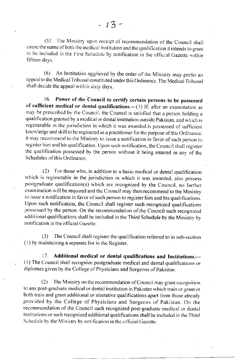(5) The Ministry upon receipt of recommendation of the Council shall cause the name of both the medical institution and the qualification it intends to grant to be included in the First Schedule by notification in the official Gazette within fifteen days.

(6) An Institution aggrieved by the order of the Ministry may prefer an appeal to the Medical Tribunal constituted under this Ordinance. The Medical Tribunal shall decide the appeal within sixty days.

Power of the Council to certify certain persons to be possessed  $16<sup>16</sup>$ of sufficient medical or dental qualifications.-(1) If, after an examination as may be prescribed by the Council, the Council is satisfied that a person holding a qualification granted by a medical or dental institution outside Pakistan, and which is registerable in the jurisdiction in which it was awarded, is possessed of sufficient knowledge and skill to be registered as a practitioner for the purpose of this Ordinance. it may recommend to the Ministry to issue a notification in favor of such person to register him and his qualification. Upon such notification, the Council shall register the qualification possessed by the person without it being entered in any of the Schedules of this Ordinance.

(2) For those who, in addition to a basic medical or dental qualification which is registerable in the jurisdiction in which it was awarded, also possess postgraduate qualification(s) which are recognized by the Council, no further examination will be required and the Council may then recommend to the Ministry to issue a notification in favor of such person to register him and his qualifications. Upon such notification, the Council shall register such recognized qualifications possessed by the person. On the recommendation of the Council such recognized additional qualifications shall be included in the Third Schedule by the Ministry by notification in the official Gazette.

(3) The Council shall register the qualification referred to in sub-section (1) by maintaining a separate list in the Register.

17. Additional medical or dental qualifications and Institutions. (1) The Council shall recognize postgraduate medical and dental qualifications or diplomas given by the College of Physicians and Surgeons of Pakistan.

 $(2)$ The Ministry on the recommendation of Council may grant recognition to any post-graduate medical or dental institution in Pakistan which train or grant or both train and grant additional or alterative qualifications apart from those already provided by the College of Physicians and Surgeons of Pakistan. On the recommendation of the Council such recognized post-graduate medical or dental institutions or such recognized additional qualifications shall be included in the Third Schedule by the Ministry by notification in the official Gazette.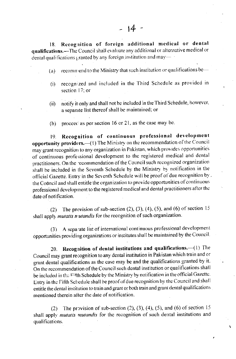Recognition of foreign additional medical or dental 18. qualifications.—The Council shall evaluate any additional or alternative medical or dental qualifications granted by any foreign institution and may  $-$ 

- recommend to the Ministry that such institution or qualifications be- $(a)$
- recognized and included in the Third Schedule as provided in  $(i)$ section 17; or
- notify it only and shall not be included in the Third Schedule, however,  $(ii)$ a separate list thereof shall be maintained; or
- proceed as per section 16 or 21, as the case may be.  $(b)$

Recognition of continuous professional development  $19<sub>1</sub>$ opportunity providers. (1) The Ministry on the recommendation of the Council may grant recognition to any organization in Pakistan, which provides opportunities of continuous professional development to the registered medical and dental practitioners. On the recommendation of the Council such recognized organization shall be included in the Seventh Schedule by the Ministry by notification in the official Gazette. Entry in the Seventh Schedule will be proof of due recognition by. the Council and shall entitle the organization to provide opportunities of continuous professional development to the registered medical and dental practitioners after the date of notification.

The provision of sub-section (2), (3), (4), (5), and (6) of section  $15$  $(2)$ shall apply *mutatis mutandis* for the recognition of such organization.

A separate list of international continuous professional development  $(3)$ opportunities providing organizations or institutes shall be maintained by the Council.

Recognition of dental institutions and qualifications.-(1) The 20. Council may grant recognition to any dental institution in Pakistan which train and or grant dental qualifications as the case may be and the qualifications granted by it. On the recommendation of the Council such dental institution or qualifications shall be included in the Fifth Schedule by the Ministry by notification in the official Gazette. Entry in the Fifth Schedule shall be proof of due recognition by the Council and shall entitle the dental institution to train and grant or both train and grant dental qualifications mentioned therein after the date of notification.

(2) The provision of sub-section (2), (3), (4), (5), and (6) of section  $15$ shall apply *mutatis mutandis* for the recognition of such dental institutions and qualifications.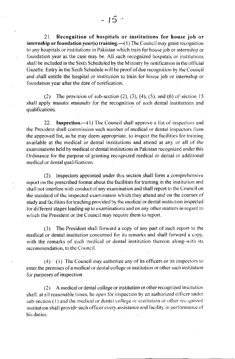21. Recognition of hospitals or institutions for house job or internship or foundation year(s) training.  $\frac{1}{1}$  The Council may grant recognition to any hospitals or institutions in Pakistan which train for house job or internship or foundation year as the case may be. All such recognized hospitals or institutions shall be included in the Sixth Scheduled by the Ministry by notification in the official Gazette. Entry in the Sixth Schedule will be proof of due recognition by the Council and shall entitle the hospital or institution to train for house job or internship or. foundation year after the date of notification.

(2) The provision of sub-section  $(2)$ ,  $(3)$ ,  $(4)$ ,  $(5)$ , and  $(6)$  of section 15 shall apply mutatis mutandis for the recognition of such dental institutions and qualifications.

22. **Inspection.**  $\left( \begin{smallmatrix} 1 \end{smallmatrix} \right)$  The Council shall approve a list of inspectors and the President shall commission such number of medical or dental inspectors from the approved list, as he may deem appropriate, to inspect the facilities for training available at the medical or dental institutions and attend at any or all of the examinations held by medical ordental institutions in Pakistan recognized under this Ordinance for the purpose of granting recognized medical or dental or additional medical or dental qualifications.

(2) Inspectors appointed under this section shall form a comprehensive report on the prescribed format about the facilities for training in the institution and shall not interfere with conduct of any examination and shall report to the Council on the standard of the inspected examination which they attend and on the courses of study and facilities for teaching provided by the medical or dental institution inspected for different stages leading up to examinations and on any other matters in regard to which the President or the Council may require them to report.

(3) The President shall forward a copy of any part of such report to the medical or dental institution concerned for its remarks and shall forward a copy. with the remarks of such medical or dental institution thereon along-with its recommendation, to the Council.

 $(4) \cdot (1)$  The Council may authorize any of its officers or its inspectors to enter the premises of a medical or dental college or institution or other such institution for purposes of inspection.

 $(2)$  A medical or dental college or institution or other recognized institution shall, at all reasonable times, be open for inspection by an authorized officer under sub-section (1) and the medical or dental college or institution or other recognized institution shall provide such officer every assistance and facility in performance of his duties.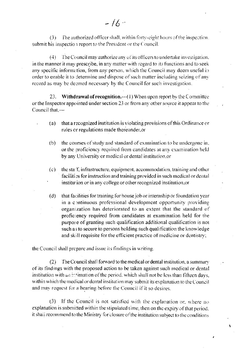The authorized officer shall, within forty-eight hours of the inspection.  $(3)$ submit his inspection report to the President or the Council.

(4) The Council may authorize any of its officers to undertake investigation. in the manner it may prescribe, in any matter with regard to its functions and to seek any specific information, from any person, which the Council may deem useful in order to enable it to determine and dispose of such matter including seizing of any record as may be deemed necessary by the Council for such investigation.

**Withdrawal of recognition.**  $-(1)$  When upon report by the Committee  $23.$ or the Inspector appointed under section 23 or from any other source it appear to the Council that.-

- that a recognized institution is violating provisions of this Ordinance or  $(a)$ rules or regulations made thereunder, or
- the courses of study and standard of examination to be undergone in,  $(b)$ or the proficiency required from candidates at any examination held by any University or medical or dental institution, or
- the staff, infrastructure, equipment, accommodation, training and other  $(c)$ facilities for instruction and training provided in such medical or dental institution or in any college or other recognized institution, or
- that facilities for training for house job or internship or foundation year  $(d)$ in a continuous professional development opportunity providing organization has deteriorated to an extent that the standard of proficiency required from candidates at examination held for the purpose of granting such qualification additional qualification is not such as to secure to persons holding such qualification the knowledge and skill requisite for the efficient practice of medicine or dentistry;

the Council shall prepare and issue its findings in writing.

The Council shall forward to the medical or dental institution, a summary  $(2)$ of its findings with the proposed action to be taken against such medical or dental institution with an institution of the period, which shall not be less than fifteen days, within which the medical or dental institution may submit its explanation to the Council and may request for a hearing before the Council if it so desires.

 $(3)$  If the Council is not satisfied with the explanation or, where no explanation is submitted within the stipulated time, then on the expiry of that period, it shall recommend to the Ministry for closure of the institution subject to the conditions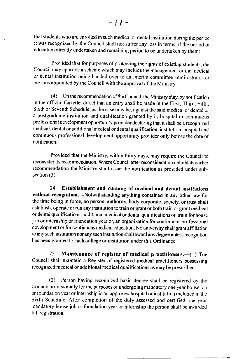that students who are enrolled in such medical or dental institution during the period it was recognized by the Council shall not suffer any loss in terms of the period of education already undertaken and remaining period to be undertaken by them:

Provided that for purposes of protecting the rights of existing students, the Council may approve a scheme which may include the management of the medical or dental institution being handed over to an interim committee administrator or persons appointed by the Council with the approval of the Ministry.

(4) On the recommendation of the Council, the Ministry may, by notification in the official Gazette, direct that an entry shall be made in the First, Third, Fifth, Sixth or Seventh Schedule, as the case may be, against the said medical or dental or a postgraduate institution and qualification granted by it, hospital cr continuous professional development opportunity provider declaring that it shall be a recognized medical, dental or additional medical or dental qualification, institution, hospital and continuous professional development opportunity provider only before the date of notification:

Provided that the Ministry, within thirty days, may require the Council to reconsider its recommendation. Where Council after reconsideration uphold its earlier recommendation the Ministry shall issue the notification as provided under subsection (3).

24. Establishment and running of medical and dental institutions without recognition.---Notwithstanding anything contained in any other law for the time being in force, no person, authority, body corporate, society, or trust shall establish. operate or run any institution to train or grant or both train or grant medical or dental qualifications, additional medical or dental qualifications or, train for house job or intemship or foundation year or, an organization for continuous professional development or for continuous medical education. No university shall grant affiliation to any such institution nor any such institution shall award any degree unless recognition has been granted to such college or institution under this Ordinance.

25. Maintenance of register of medical practitioners.— $(1)$  The Council shall maintain a Register of registered medical practitioners possessing recognized medical or additional medical qualifications as may be prescribed.

(2) Person having recognized basic degree shall be regisrered by the Council provisionally for the purposes of undergoing mandatory one year house job or foundation year or internship in an approved hospital or institution included in the Sixth Schedule. After completion of the duly assessed and certified one year mandatory house job or foundation year or intemship the person shall be awarded full registration.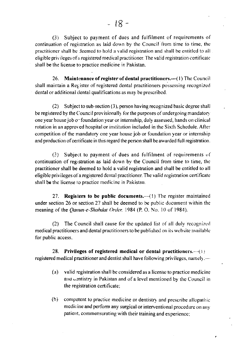(3) Subject to payment of dues and fulfilment of requirements of continuation of registration as laid down by the Council from time to time, the practitioner shall be deemed to hold a valid registration and shall be entitled to all eligible privileges of a registered medical practitioner. The valid registration certificate shall be the license to practice medicine in Pakistan.

Maintenance of register of dental practitioners.—(1) The Council 26. shall maintain a Register of registered dental practitioners possessing recognized dental or additional dental qualifications as may be prescribed.

Subject to sub-section (3), person having recognized basic degree shall  $(2)$ be registered by the Council provisionally for the purposes of undergoing mandatory one year house job or foundation year or internship, duly assessed, hands on clinical rotation in an approved hospital or institution included in the Sixth Schedule. After competition of the mandatory one year house job or foundation year or internship and production of certificate in this regard the person shall be awarded full registration.

Subject to payment of dues and fulfilment of requirements of  $(3)$ continuation of registration as laid down by the Council from time to time, the practitioner shall be deemed to hold a valid registration and shall be entitled to all eligible privileges of a registered dental practitioner. The valid registration certificate shall be the license to practice medicine in Pakistan.

**Registers to be public documents.**— $(1)$  The register maintained  $27<sub>1</sub>$ under section 26 or section 27 shall be deemed to be public document within the meaning of the *Qanun-e-Shahdat Order*, 1984 (P. O. No. 10 of 1984).

The Council shall cause for the updated list of all duly recognized  $(2)$ medical practitioners and dental practitioners to be published on its website available for public access.

Privileges of registered medical or dental practitioners. $-(i)$ 28. registered medical practitioner and dentist shall have following privileges, namely:—

- $(a)$ valid registration shall be considered as a license to practice medicine and centistry in Pakistan and of a level mentioned by the Council in the registration certificate;
- $(b)$ competent to practice medicine or dentistry and prescribe allopathic medicine and perform any surgical or interventional procedure on any patient, commensurating with their training and experience;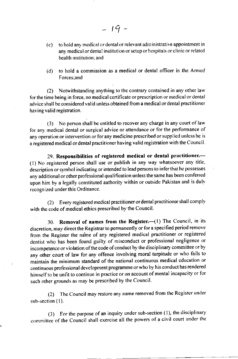- (c) to hold any medical or dental or relevant administrative appointment in any medical or dental institution or setup or hospitals or clinic or related health institution: and
- (d) to hold a commission as a medical or dental officer in the Amrcd Forces;and

(2) Notwithstanding anything to the contrary contained in any other law for the time being in force, no medical certificate or prescription or medical or dental advice shall be considered valid unless obtained from a medical or dental practitioner having valid registration.

(3) No person shall be entitled to recover any charge in any court of law for any medical dental or surgical advice or attendance or for the performance of any operation or intervention or for any medicine prescribed or supplied unless he is a registered medical or dental practitioner having valid registration with the Council.

29. Responsibilities of registered medical or dental practitioner.-(1) No registered person shall use or publish in any way whatsoever any title, description or symbol indicating or intended to lead persons to infer that he possesses any additional or other professional qualification unless the same has been conferred upon him by a legally constituted authority within or outside Pakistan and is duly recognized under this Ordinance.

(2) Every registered medical practitioner or dental practitioner shall comply with the code of medical ethics prescribed by the Council.

30. Removal of names from the Register.- $(1)$  The Council, in its discretion, may direct the Registrar to permanently or for a specified period remove from the Register the naine of any registered medical practitioner or registered dentist who has been found guilty of misconduct or professional negligence or incompetence or violation of the code of conduct by the disciplinary committee or by any other court of law for any offence involving moral turpitude or who fails to maintain the minimum standard of the national continuous medical education or continuous professionat development programme or who by his conduct has rendered <sup>h</sup>imself to be unfit 10 continue in practice or on account of mental incapacity or for such other grounds as may be prescribed by the Council.

(2) The Council may restore any name removed from the Register under sub-section (1).

(3) For the purpose of an inquiry under sub-section  $(1)$ , the disciplinary committee of the Council shall exercise all the powers of a civil court under the